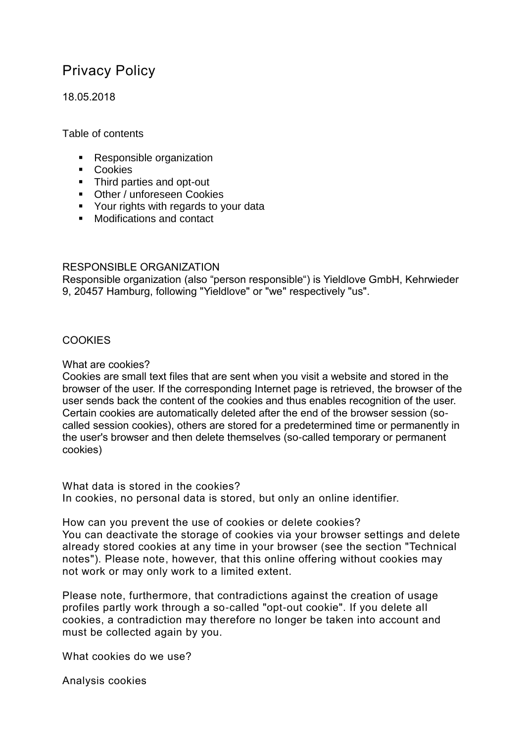# Privacy Policy

18.05.2018

Table of contents

- Responsible organization
- **Cookies**
- Third parties and opt-out
- Other / unforeseen Cookies
- **Your rights with regards to your data**
- Modifications and contact

## RESPONSIBLE ORGANIZATION

Responsible organization (also "person responsible") is Yieldlove GmbH, Kehrwieder 9, 20457 Hamburg, following "Yieldlove" or "we" respectively "us".

# **COOKIES**

## What are cookies?

Cookies are small text files that are sent when you visit a website and stored in the browser of the user. If the corresponding Internet page is retrieved, the browser of the user sends back the content of the cookies and thus enables recognition of the user. Certain cookies are automatically deleted after the end of the browser session (socalled session cookies), others are stored for a predetermined time or permanently in the user's browser and then delete themselves (so-called temporary or permanent cookies)

What data is stored in the cookies? In cookies, no personal data is stored, but only an online identifier.

How can you prevent the use of cookies or delete cookies? You can deactivate the storage of cookies via your browser settings and delete already stored cookies at any time in your browser (see the section "Technical notes"). Please note, however, that this online offering without cookies may not work or may only work to a limited extent.

Please note, furthermore, that contradictions against the creation of usage profiles partly work through a so-called "opt-out cookie". If you delete all cookies, a contradiction may therefore no longer be taken into account and must be collected again by you.

What cookies do we use?

Analysis cookies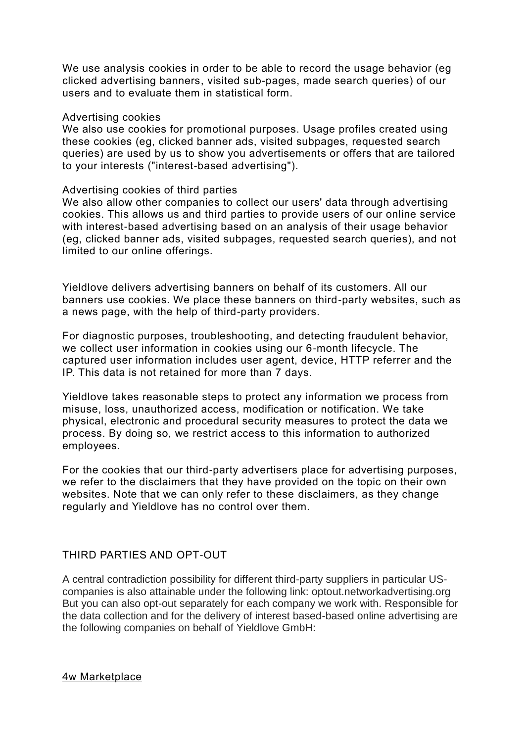We use analysis cookies in order to be able to record the usage behavior (eg clicked advertising banners, visited sub-pages, made search queries) of our users and to evaluate them in statistical form.

#### Advertising cookies

We also use cookies for promotional purposes. Usage profiles created using these cookies (eg, clicked banner ads, visited subpages, requested search queries) are used by us to show you advertisements or offers that are tailored to your interests ("interest-based advertising").

## Advertising cookies of third parties

We also allow other companies to collect our users' data through advertising cookies. This allows us and third parties to provide users of our online service with interest-based advertising based on an analysis of their usage behavior (eg, clicked banner ads, visited subpages, requested search queries), and not limited to our online offerings.

Yieldlove delivers advertising banners on behalf of its customers. All our banners use cookies. We place these banners on third-party websites, such as a news page, with the help of third-party providers.

For diagnostic purposes, troubleshooting, and detecting fraudulent behavior, we collect user information in cookies using our 6-month lifecycle. The captured user information includes user agent, device, HTTP referrer and the IP. This data is not retained for more than 7 days.

Yieldlove takes reasonable steps to protect any information we process from misuse, loss, unauthorized access, modification or notification. We take physical, electronic and procedural security measures to protect the data we process. By doing so, we restrict access to this information to authorized employees.

For the cookies that our third-party advertisers place for advertising purposes, we refer to the disclaimers that they have provided on the topic on their own websites. Note that we can only refer to these disclaimers, as they change regularly and Yieldlove has no control over them.

# THIRD PARTIES AND OPT-OUT

A central contradiction possibility for different third-party suppliers in particular UScompanies is also attainable under the following link: optout.networkadvertising.org But you can also opt-out separately for each company we work with. Responsible for the data collection and for the delivery of interest based-based online advertising are the following companies on behalf of Yieldlove GmbH:

4w Marketplace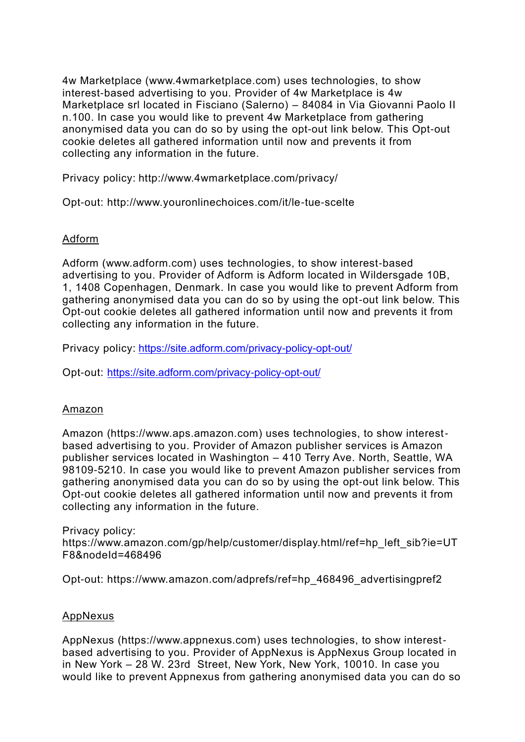4w Marketplace (www.4wmarketplace.com) uses technologies, to show interest-based advertising to you. Provider of 4w Marketplace is 4w Marketplace srl located in Fisciano (Salerno) – 84084 in Via Giovanni Paolo II n.100. In case you would like to prevent 4w Marketplace from gathering anonymised data you can do so by using the opt-out link below. This Opt-out cookie deletes all gathered information until now and prevents it from collecting any information in the future.

Privacy policy:<http://www.4wmarketplace.com/privacy/>

Opt-out:<http://www.youronlinechoices.com/it/le-tue-scelte>

# Adform

Adform (www.adform.com) uses technologies, to show interest-based advertising to you. Provider of Adform is Adform located in Wildersgade 10B, 1, 1408 Copenhagen, Denmark. In case you would like to prevent Adform from gathering anonymised data you can do so by using the opt-out link below. This Opt-out cookie deletes all gathered information until now and prevents it from collecting any information in the future.

Privacy policy:<https://site.adform.com/privacy-policy-opt-out/>

Opt-out:<https://site.adform.com/privacy-policy-opt-out/>

# Amazon

Amazon (https://www.aps.amazon.com) uses technologies, to show interestbased advertising to you. Provider of Amazon publisher services is Amazon publisher services located in Washington – 410 Terry Ave. North, Seattle, WA 98109-5210. In case you would like to prevent Amazon publisher services from gathering anonymised data you can do so by using the opt-out link below. This Opt-out cookie deletes all gathered information until now and prevents it from collecting any information in the future.

Privacy policy: [https://www.amazon.com/gp/help/customer/display.html/ref=hp\\_left\\_sib?ie=UT](https://www.amazon.com/gp/help/customer/display.html/ref=hp_left_sib?ie=UTF8&nodeId=468496) [F8&nodeId=468496](https://www.amazon.com/gp/help/customer/display.html/ref=hp_left_sib?ie=UTF8&nodeId=468496)

Opt-out: [https://www.amazon.com/adprefs/ref=hp\\_468496\\_advertisingpref2](https://www.amazon.com/adprefs/ref=hp_468496_advertisingpref2)

# AppNexus

AppNexus (https://www.appnexus.com) uses technologies, to show interestbased advertising to you. Provider of AppNexus is AppNexus Group located in in New York – 28 W. 23rd Street, New York, New York, 10010. In case you would like to prevent Appnexus from gathering anonymised data you can do so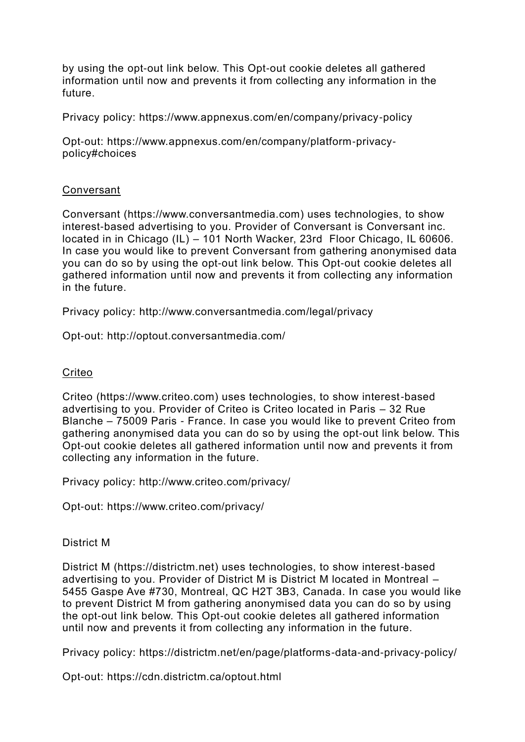by using the opt-out link below. This Opt-out cookie deletes all gathered information until now and prevents it from collecting any information in the future.

Privacy policy: https://www.appnexus.com/en/company/privacy-policy

Opt-out: https://www.appnexus.com/en/company/platform-privacypolicy#choices

## Conversant

Conversant (https://www.conversantmedia.com) uses technologies, to show interest-based advertising to you. Provider of Conversant is Conversant inc. located in in Chicago (IL) – 101 North Wacker, 23rd Floor Chicago, IL 60606. In case you would like to prevent Conversant from gathering anonymised data you can do so by using the opt-out link below. This Opt-out cookie deletes all gathered information until now and prevents it from collecting any information in the future.

Privacy policy:<http://www.conversantmedia.com/legal/privacy>

Opt-out: http://optout.conversantmedia.com/

#### **Criteo**

Criteo (https://www.criteo.com) uses technologies, to show interest-based advertising to you. Provider of Criteo is Criteo located in Paris – 32 Rue Blanche – 75009 Paris - France. In case you would like to prevent Criteo from gathering anonymised data you can do so by using the opt-out link below. This Opt-out cookie deletes all gathered information until now and prevents it from collecting any information in the future.

Privacy policy: http://www.criteo.com/privacy/

Opt-out: https://www.criteo.com/privacy/

## District M

District M (https://districtm.net) uses technologies, to show interest-based advertising to you. Provider of District M is District M located in Montreal – 5455 Gaspe Ave #730, Montreal, QC H2T 3B3, Canada. In case you would like to prevent District M from gathering anonymised data you can do so by using the opt-out link below. This Opt-out cookie deletes all gathered information until now and prevents it from collecting any information in the future.

Privacy policy:<https://districtm.net/en/page/platforms-data-and-privacy-policy/>

Opt-out:<https://cdn.districtm.ca/optout.html>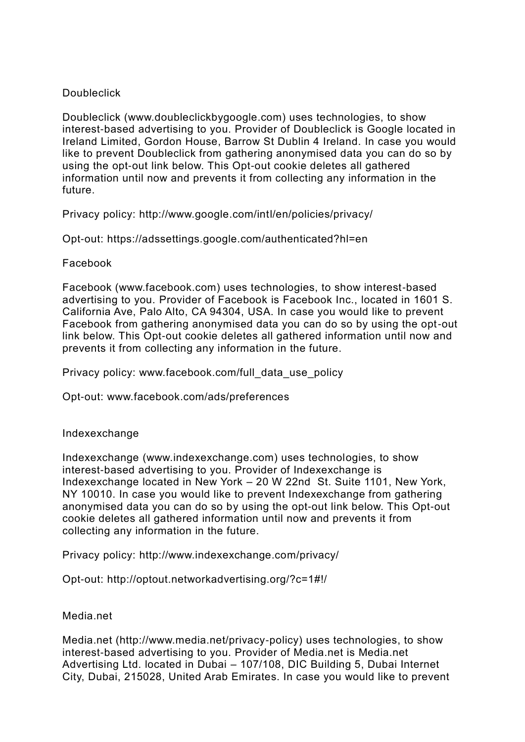## **Doubleclick**

Doubleclick (www.doubleclickbygoogle.com) uses technologies, to show interest-based advertising to you. Provider of Doubleclick is Google located in Ireland Limited, Gordon House, Barrow St Dublin 4 Ireland. In case you would like to prevent Doubleclick from gathering anonymised data you can do so by using the opt-out link below. This Opt-out cookie deletes all gathered information until now and prevents it from collecting any information in the future.

Privacy policy: http://www.google.com/intl/en/policies/privacy/

Opt-out:<https://adssettings.google.com/authenticated?hl=en>

## Facebook

Facebook (www.facebook.com) uses technologies, to show interest-based advertising to you. Provider of Facebook is Facebook Inc., located in 1601 S. California Ave, Palo Alto, CA 94304, USA. In case you would like to prevent Facebook from gathering anonymised data you can do so by using the opt-out link below. This Opt-out cookie deletes all gathered information until now and prevents it from collecting any information in the future.

Privacy policy: www.facebook.com/full\_data\_use\_policy\_

Opt-out: www.facebook.com/ads/preferences

## Indexexchange

Indexexchange (www.indexexchange.com) uses technologies, to show interest-based advertising to you. Provider of Indexexchange is Indexexchange located in New York – 20 W 22nd St. Suite 1101, New York, NY 10010. In case you would like to prevent Indexexchange from gathering anonymised data you can do so by using the opt-out link below. This Opt-out cookie deletes all gathered information until now and prevents it from collecting any information in the future.

Privacy policy:<http://www.indexexchange.com/privacy/>

Opt-out: http://optout.networkadvertising.org/?c=1#!/

Media.net

Media.net (http://www.media.net/privacy-policy) uses technologies, to show interest-based advertising to you. Provider of Media.net is Media.net Advertising Ltd. located in Dubai – 107/108, DIC Building 5, Dubai Internet City, Dubai, 215028, United Arab Emirates. In case you would like to prevent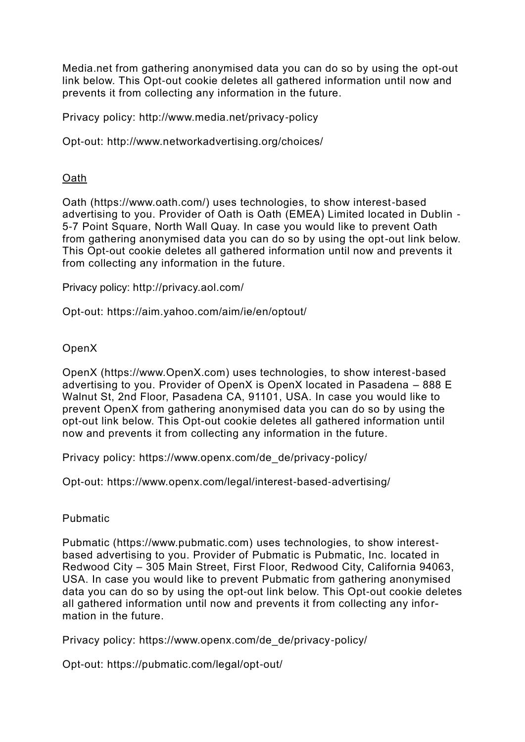Media.net from gathering anonymised data you can do so by using the opt-out link below. This Opt-out cookie deletes all gathered information until now and prevents it from collecting any information in the future.

Privacy policy: http://www.media.net/privacy-policy

Opt-out:<http://www.networkadvertising.org/choices/>

## Oath

Oath (https://www.oath.com/) uses technologies, to show interest-based advertising to you. Provider of Oath is Oath (EMEA) Limited located in Dublin - 5-7 Point Square, North Wall Quay. In case you would like to prevent Oath from gathering anonymised data you can do so by using the opt-out link below. This Opt-out cookie deletes all gathered information until now and prevents it from collecting any information in the future.

Privacy policy:<http://privacy.aol.com/>

Opt-out: https://aim.yahoo.com/aim/ie/en/optout/

## OpenX

OpenX (https://www.OpenX.com) uses technologies, to show interest-based advertising to you. Provider of OpenX is OpenX located in Pasadena – 888 E Walnut St, 2nd Floor, Pasadena CA, 91101, USA. In case you would like to prevent OpenX from gathering anonymised data you can do so by using the opt-out link below. This Opt-out cookie deletes all gathered information until now and prevents it from collecting any information in the future.

Privacy policy: https://www.openx.com/de\_de/privacy-policy/

Opt-out:<https://www.openx.com/legal/interest-based-advertising/>

## Pubmatic

Pubmatic (https://www.pubmatic.com) uses technologies, to show interestbased advertising to you. Provider of Pubmatic is Pubmatic, Inc. located in Redwood City – 305 Main Street, First Floor, Redwood City, California 94063, USA. In case you would like to prevent Pubmatic from gathering anonymised data you can do so by using the opt-out link below. This Opt-out cookie deletes all gathered information until now and prevents it from collecting any information in the future.

Privacy policy: https://www.openx.com/de\_de/privacy-policy/

Opt-out: https://pubmatic.com/legal/opt-out/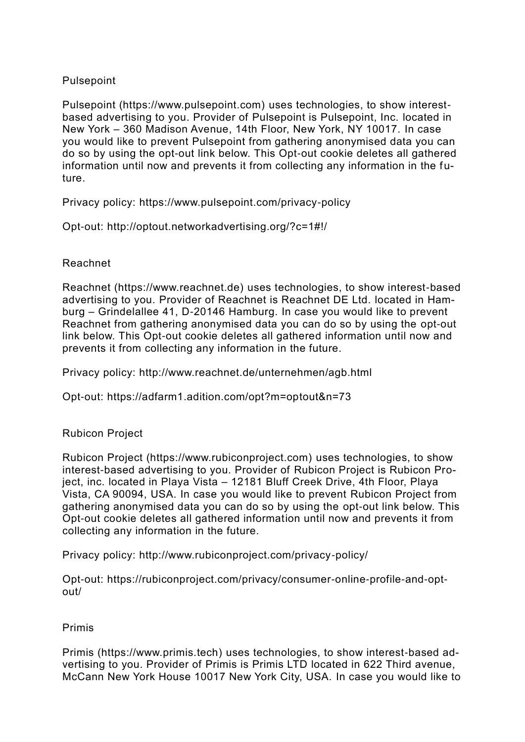# Pulsepoint

Pulsepoint (https://www.pulsepoint.com) uses technologies, to show interestbased advertising to you. Provider of Pulsepoint is Pulsepoint, Inc. located in New York – 360 Madison Avenue, 14th Floor, New York, NY 10017. In case you would like to prevent Pulsepoint from gathering anonymised data you can do so by using the opt-out link below. This Opt-out cookie deletes all gathered information until now and prevents it from collecting any information in the future.

Privacy policy:<https://www.pulsepoint.com/privacy-policy>

Opt-out: http://optout.networkadvertising.org/?c=1#!/

# Reachnet

Reachnet (https://www.reachnet.de) uses technologies, to show interest-based advertising to you. Provider of Reachnet is Reachnet DE Ltd. located in Hamburg – Grindelallee 41, D-20146 Hamburg. In case you would like to prevent Reachnet from gathering anonymised data you can do so by using the opt-out link below. This Opt-out cookie deletes all gathered information until now and prevents it from collecting any information in the future.

Privacy policy: http://www.reachnet.de/unternehmen/agb.html

Opt-out:<https://adfarm1.adition.com/opt?m=optout&n=73>

# Rubicon Project

Rubicon Project (https://www.rubiconproject.com) uses technologies, to show interest-based advertising to you. Provider of Rubicon Project is Rubicon Project, inc. located in Playa Vista – 12181 Bluff Creek Drive, 4th Floor, Playa Vista, CA 90094, USA. In case you would like to prevent Rubicon Project from gathering anonymised data you can do so by using the opt-out link below. This Opt-out cookie deletes all gathered information until now and prevents it from collecting any information in the future.

Privacy policy: http://www.rubiconproject.com/privacy-policy/

Opt-out: [https://rubiconproject.com/privacy/consumer-online-profile-and-opt](https://rubiconproject.com/privacy/consumer-online-profile-and-opt-out/)[out/](https://rubiconproject.com/privacy/consumer-online-profile-and-opt-out/)

# Primis

Primis (https://www.primis.tech) uses technologies, to show interest-based advertising to you. Provider of Primis is Primis LTD located in 622 Third avenue, McCann New York House 10017 New York City, USA. In case you would like to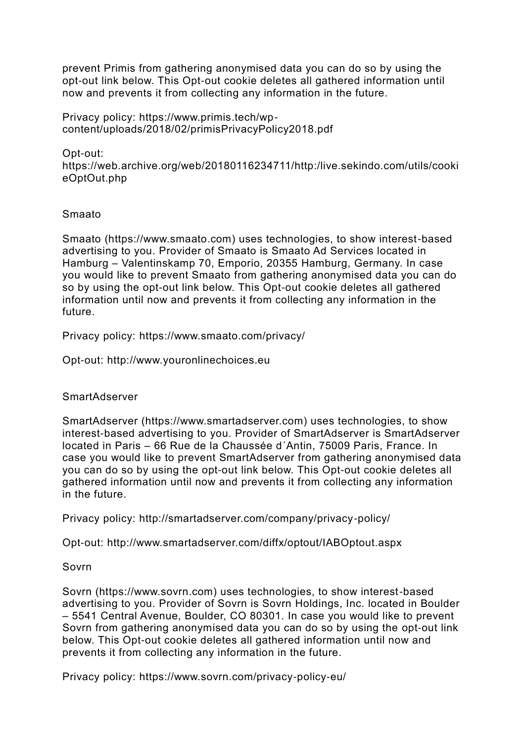prevent Primis from gathering anonymised data you can do so by using the opt-out link below. This Opt-out cookie deletes all gathered information until now and prevents it from collecting any information in the future.

Privacy policy: https://www.primis.tech/wpcontent/uploads/2018/02/primisPrivacyPolicy2018.pdf

Opt-out: https://web.archive.org/web/20180116234711/http:/live.sekindo.com/utils/cooki eOptOut.php

## Smaato

Smaato (https://www.smaato.com) uses technologies, to show interest-based advertising to you. Provider of Smaato is Smaato Ad Services located in Hamburg – Valentinskamp 70, Emporio, 20355 Hamburg, Germany. In case you would like to prevent Smaato from gathering anonymised data you can do so by using the opt-out link below. This Opt-out cookie deletes all gathered information until now and prevents it from collecting any information in the future.

Privacy policy:<https://www.smaato.com/privacy/>

Opt-out: [http://www.youronlinechoices.eu](https://www.youronlinechoices.eu/)

## **SmartAdserver**

SmartAdserver (https://www.smartadserver.com) uses technologies, to show interest-based advertising to you. Provider of SmartAdserver is SmartAdserver located in Paris – 66 Rue de la Chaussée d´Antin, 75009 Paris, France. In case you would like to prevent SmartAdserver from gathering anonymised data you can do so by using the opt-out link below. This Opt-out cookie deletes all gathered information until now and prevents it from collecting any information in the future.

Privacy policy: http://smartadserver.com/company/privacy-policy/

Opt-out: http://www.smartadserver.com/diffx/optout/IABOptout.aspx

## Sovrn

Sovrn (https://www.sovrn.com) uses technologies, to show interest-based advertising to you. Provider of Sovrn is Sovrn Holdings, Inc. located in Boulder – 5541 Central Avenue, Boulder, CO 80301. In case you would like to prevent Sovrn from gathering anonymised data you can do so by using the opt-out link below. This Opt-out cookie deletes all gathered information until now and prevents it from collecting any information in the future.

Privacy policy:<https://www.sovrn.com/privacy-policy-eu/>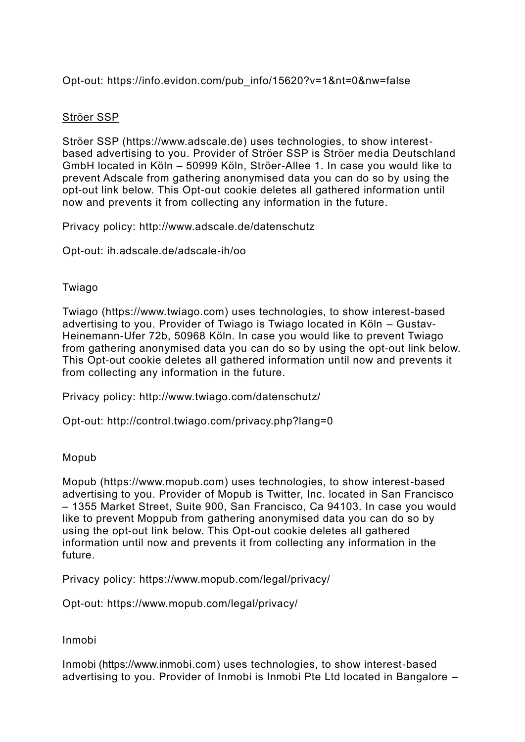Opt-out: https://info.evidon.com/pub\_info/15620?v=1&nt=0&nw=false

# Ströer SSP

Ströer SSP (https://www.adscale.de) uses technologies, to show interestbased advertising to you. Provider of Ströer SSP is Ströer media Deutschland GmbH located in Köln – 50999 Köln, Ströer-Allee 1. In case you would like to prevent Adscale from gathering anonymised data you can do so by using the opt-out link below. This Opt-out cookie deletes all gathered information until now and prevents it from collecting any information in the future.

Privacy policy:<http://www.adscale.de/datenschutz>

Opt-out: ih.adscale.de/adscale-ih/oo

# Twiago

Twiago (https://www.twiago.com) uses technologies, to show interest-based advertising to you. Provider of Twiago is Twiago located in Köln – Gustav-Heinemann-Ufer 72b, 50968 Köln. In case you would like to prevent Twiago from gathering anonymised data you can do so by using the opt-out link below. This Opt-out cookie deletes all gathered information until now and prevents it from collecting any information in the future.

Privacy policy: http://www.twiago.com/datenschutz/

Opt-out: http://control.twiago.com/privacy.php?lang=0

# Mopub

Mopub (https://www.mopub.com) uses technologies, to show interest-based advertising to you. Provider of Mopub is Twitter, Inc. located in San Francisco – 1355 Market Street, Suite 900, San Francisco, Ca 94103. In case you would like to prevent Moppub from gathering anonymised data you can do so by using the opt-out link below. This Opt-out cookie deletes all gathered information until now and prevents it from collecting any information in the future.

Privacy policy: https://www.mopub.com/legal/privacy/

Opt-out: https://www.mopub.com/legal/privacy/

Inmobi

Inmobi (https://www.inmobi.com) uses technologies, to show interest-based advertising to you. Provider of Inmobi is Inmobi Pte Ltd located in Bangalore –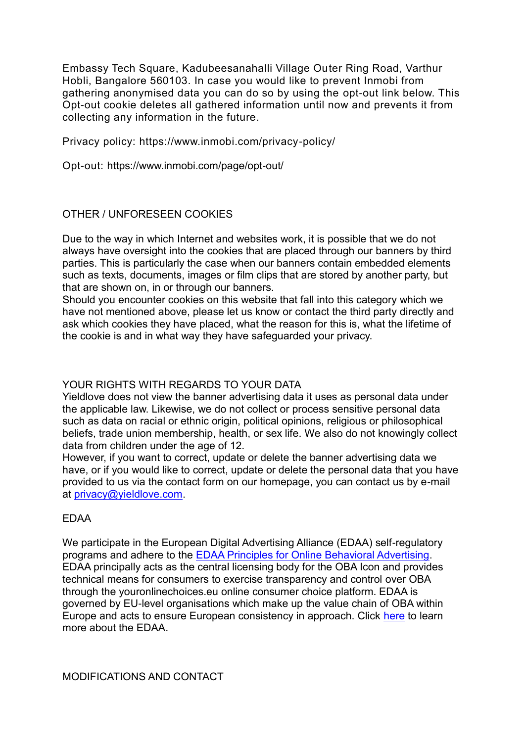Embassy Tech Square, Kadubeesanahalli Village Outer Ring Road, Varthur Hobli, Bangalore 560103. In case you would like to prevent Inmobi from gathering anonymised data you can do so by using the opt-out link below. This Opt-out cookie deletes all gathered information until now and prevents it from collecting any information in the future.

Privacy policy:<https://www.inmobi.com/privacy-policy/>

Opt-out: https://www.inmobi.com/page/opt-out/

## OTHER / UNFORESEEN COOKIES

Due to the way in which Internet and websites work, it is possible that we do not always have oversight into the cookies that are placed through our banners by third parties. This is particularly the case when our banners contain embedded elements such as texts, documents, images or film clips that are stored by another party, but that are shown on, in or through our banners.

Should you encounter cookies on this website that fall into this category which we have not mentioned above, please let us know or contact the third party directly and ask which cookies they have placed, what the reason for this is, what the lifetime of the cookie is and in what way they have safeguarded your privacy.

## YOUR RIGHTS WITH REGARDS TO YOUR DATA

Yieldlove does not view the banner advertising data it uses as personal data under the applicable law. Likewise, we do not collect or process sensitive personal data such as data on racial or ethnic origin, political opinions, religious or philosophical beliefs, trade union membership, health, or sex life. We also do not knowingly collect data from children under the age of 12.

However, if you want to correct, update or delete the banner advertising data we have, or if you would like to correct, update or delete the personal data that you have provided to us via the contact form on our homepage, you can contact us by e-mail at [privacy@yieldlove.com.](mailto:privacy@yieldlove.com)

## EDAA

We participate in the European Digital Advertising Alliance (EDAA) self-regulatory programs and adhere to the [EDAA Principles for Online Behavioral Advertising.](http://www.edaa.eu/european-principles/) EDAA principally acts as the central licensing body for the OBA Icon and provides technical means for consumers to exercise transparency and control over OBA through the youronlinechoices.eu online consumer choice platform. EDAA is governed by EU-level organisations which make up the value chain of OBA within Europe and acts to ensure European consistency in approach. Click [here](http://www.edaa.eu/) to learn more about the EDAA.